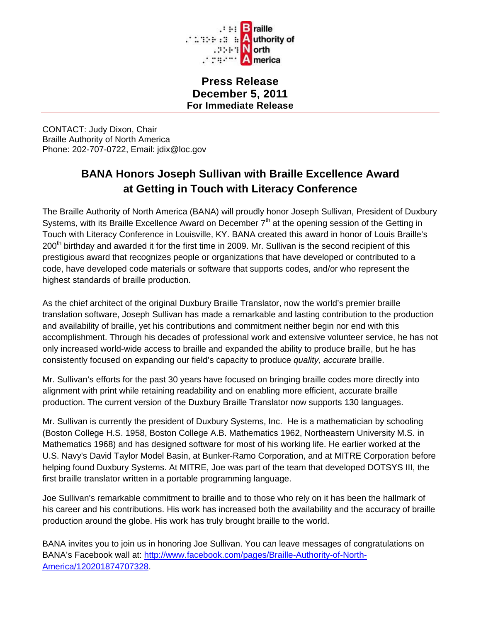

**Press Release December 5, 2011 For Immediate Release**

CONTACT: Judy Dixon, Chair Braille Authority of North America Phone: 202-707-0722, Email: jdix@loc.gov

## **BANA Honors Joseph Sullivan with Braille Excellence Award at Getting in Touch with Literacy Conference**

The Braille Authority of North America (BANA) will proudly honor Joseph Sullivan, President of Duxbury Systems, with its Braille Excellence Award on December  $7<sup>th</sup>$  at the opening session of the Getting in Touch with Literacy Conference in Louisville, KY. BANA created this award in honor of Louis Braille's 200<sup>th</sup> birthday and awarded it for the first time in 2009. Mr. Sullivan is the second recipient of this prestigious award that recognizes people or organizations that have developed or contributed to a code, have developed code materials or software that supports codes, and/or who represent the highest standards of braille production.

As the chief architect of the original Duxbury Braille Translator, now the world's premier braille translation software, Joseph Sullivan has made a remarkable and lasting contribution to the production and availability of braille, yet his contributions and commitment neither begin nor end with this accomplishment. Through his decades of professional work and extensive volunteer service, he has not only increased world-wide access to braille and expanded the ability to produce braille, but he has consistently focused on expanding our field's capacity to produce *quality, accurate* braille.

Mr. Sullivan's efforts for the past 30 years have focused on bringing braille codes more directly into alignment with print while retaining readability and on enabling more efficient, accurate braille production. The current version of the Duxbury Braille Translator now supports 130 languages.

Mr. Sullivan is currently the president of Duxbury Systems, Inc. He is a mathematician by schooling (Boston College H.S. 1958, Boston College A.B. Mathematics 1962, Northeastern University M.S. in Mathematics 1968) and has designed software for most of his working life. He earlier worked at the U.S. Navy's David Taylor Model Basin, at Bunker-Ramo Corporation, and at MITRE Corporation before helping found Duxbury Systems. At MITRE, Joe was part of the team that developed DOTSYS III, the first braille translator written in a portable programming language.

Joe Sullivan's remarkable commitment to braille and to those who rely on it has been the hallmark of his career and his contributions. His work has increased both the availability and the accuracy of braille production around the globe. His work has truly brought braille to the world.

BANA invites you to join us in honoring Joe Sullivan. You can leave messages of congratulations on BANA's Facebook wall at: [http://www.facebook.com/pages/Braille-Authority-of-North-](http://www.facebook.com/pages/Braille-Authority-of-North-America/120201874707328)[America/120201874707328.](http://www.facebook.com/pages/Braille-Authority-of-North-America/120201874707328)